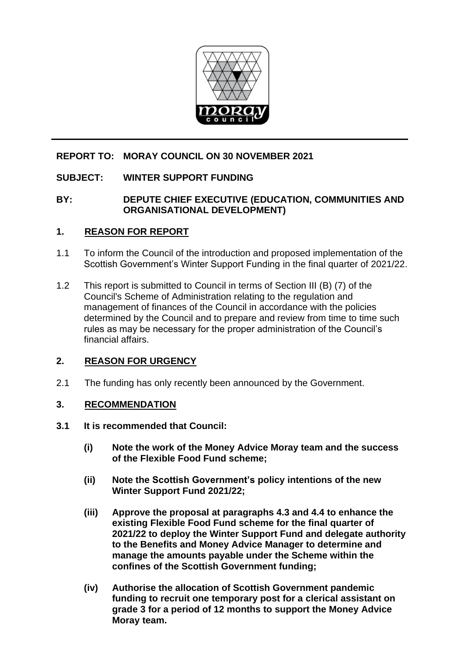

# **REPORT TO: MORAY COUNCIL ON 30 NOVEMBER 2021**

# **SUBJECT: WINTER SUPPORT FUNDING**

## **BY: DEPUTE CHIEF EXECUTIVE (EDUCATION, COMMUNITIES AND ORGANISATIONAL DEVELOPMENT)**

### **1. REASON FOR REPORT**

- 1.1 To inform the Council of the introduction and proposed implementation of the Scottish Government's Winter Support Funding in the final quarter of 2021/22.
- 1.2 This report is submitted to Council in terms of Section III (B) (7) of the Council's Scheme of Administration relating to the regulation and management of finances of the Council in accordance with the policies determined by the Council and to prepare and review from time to time such rules as may be necessary for the proper administration of the Council's financial affairs.

# **2. REASON FOR URGENCY**

2.1 The funding has only recently been announced by the Government.

# **3. RECOMMENDATION**

- **3.1 It is recommended that Council:** 
	- **(i) Note the work of the Money Advice Moray team and the success of the Flexible Food Fund scheme;**
	- **(ii) Note the Scottish Government's policy intentions of the new Winter Support Fund 2021/22;**
	- **(iii) Approve the proposal at paragraphs 4.3 and 4.4 to enhance the existing Flexible Food Fund scheme for the final quarter of 2021/22 to deploy the Winter Support Fund and delegate authority to the Benefits and Money Advice Manager to determine and manage the amounts payable under the Scheme within the confines of the Scottish Government funding;**
	- **(iv) Authorise the allocation of Scottish Government pandemic funding to recruit one temporary post for a clerical assistant on grade 3 for a period of 12 months to support the Money Advice Moray team.**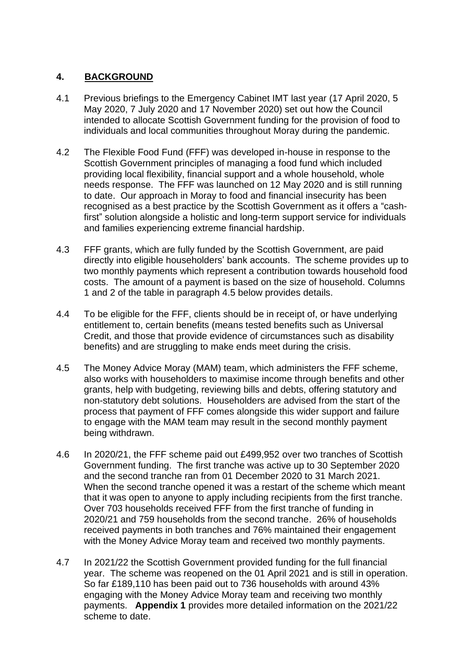# **4. BACKGROUND**

- 4.1 Previous briefings to the Emergency Cabinet IMT last year (17 April 2020, 5 May 2020, 7 July 2020 and 17 November 2020) set out how the Council intended to allocate Scottish Government funding for the provision of food to individuals and local communities throughout Moray during the pandemic.
- 4.2 The Flexible Food Fund (FFF) was developed in-house in response to the Scottish Government principles of managing a food fund which included providing local flexibility, financial support and a whole household, whole needs response. The FFF was launched on 12 May 2020 and is still running to date. Our approach in Moray to food and financial insecurity has been recognised as a best practice by the Scottish Government as it offers a "cashfirst" solution alongside a holistic and long-term support service for individuals and families experiencing extreme financial hardship.
- 4.3 FFF grants, which are fully funded by the Scottish Government, are paid directly into eligible householders' bank accounts. The scheme provides up to two monthly payments which represent a contribution towards household food costs. The amount of a payment is based on the size of household. Columns 1 and 2 of the table in paragraph 4.5 below provides details.
- 4.4 To be eligible for the FFF, clients should be in receipt of, or have underlying entitlement to, certain benefits (means tested benefits such as Universal Credit, and those that provide evidence of circumstances such as disability benefits) and are struggling to make ends meet during the crisis.
- 4.5 The Money Advice Moray (MAM) team, which administers the FFF scheme, also works with householders to maximise income through benefits and other grants, help with budgeting, reviewing bills and debts, offering statutory and non-statutory debt solutions. Householders are advised from the start of the process that payment of FFF comes alongside this wider support and failure to engage with the MAM team may result in the second monthly payment being withdrawn.
- 4.6 In 2020/21, the FFF scheme paid out £499,952 over two tranches of Scottish Government funding. The first tranche was active up to 30 September 2020 and the second tranche ran from 01 December 2020 to 31 March 2021. When the second tranche opened it was a restart of the scheme which meant that it was open to anyone to apply including recipients from the first tranche. Over 703 households received FFF from the first tranche of funding in 2020/21 and 759 households from the second tranche. 26% of households received payments in both tranches and 76% maintained their engagement with the Money Advice Moray team and received two monthly payments.
- 4.7 In 2021/22 the Scottish Government provided funding for the full financial year. The scheme was reopened on the 01 April 2021 and is still in operation. So far £189,110 has been paid out to 736 households with around 43% engaging with the Money Advice Moray team and receiving two monthly payments. **Appendix 1** provides more detailed information on the 2021/22 scheme to date.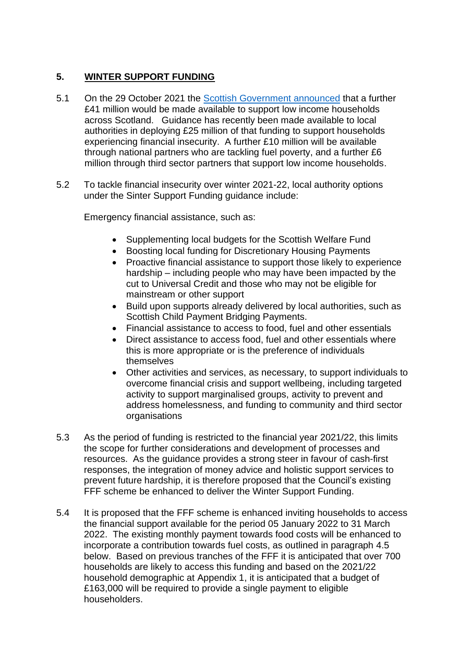# **5. WINTER SUPPORT FUNDING**

- 5.1 On the 29 October 2021 the [Scottish Government announced](https://www.gov.scot/news/financial-help-for-families-in-need-1/) that a further £41 million would be made available to support low income households across Scotland. Guidance has recently been made available to local authorities in deploying £25 million of that funding to support households experiencing financial insecurity. A further £10 million will be available through national partners who are tackling fuel poverty, and a further £6 million through third sector partners that support low income households.
- 5.2 To tackle financial insecurity over winter 2021-22, local authority options under the Sinter Support Funding guidance include:

Emergency financial assistance, such as:

- Supplementing local budgets for the Scottish Welfare Fund
- Boosting local funding for Discretionary Housing Payments
- Proactive financial assistance to support those likely to experience hardship – including people who may have been impacted by the cut to Universal Credit and those who may not be eligible for mainstream or other support
- Build upon supports already delivered by local authorities, such as Scottish Child Payment Bridging Payments.
- Financial assistance to access to food, fuel and other essentials
- Direct assistance to access food, fuel and other essentials where this is more appropriate or is the preference of individuals themselves
- Other activities and services, as necessary, to support individuals to overcome financial crisis and support wellbeing, including targeted activity to support marginalised groups, activity to prevent and address homelessness, and funding to community and third sector organisations
- 5.3 As the period of funding is restricted to the financial year 2021/22, this limits the scope for further considerations and development of processes and resources. As the guidance provides a strong steer in favour of cash-first responses, the integration of money advice and holistic support services to prevent future hardship, it is therefore proposed that the Council's existing FFF scheme be enhanced to deliver the Winter Support Funding.
- 5.4 It is proposed that the FFF scheme is enhanced inviting households to access the financial support available for the period 05 January 2022 to 31 March 2022. The existing monthly payment towards food costs will be enhanced to incorporate a contribution towards fuel costs, as outlined in paragraph 4.5 below. Based on previous tranches of the FFF it is anticipated that over 700 households are likely to access this funding and based on the 2021/22 household demographic at Appendix 1, it is anticipated that a budget of £163,000 will be required to provide a single payment to eligible householders.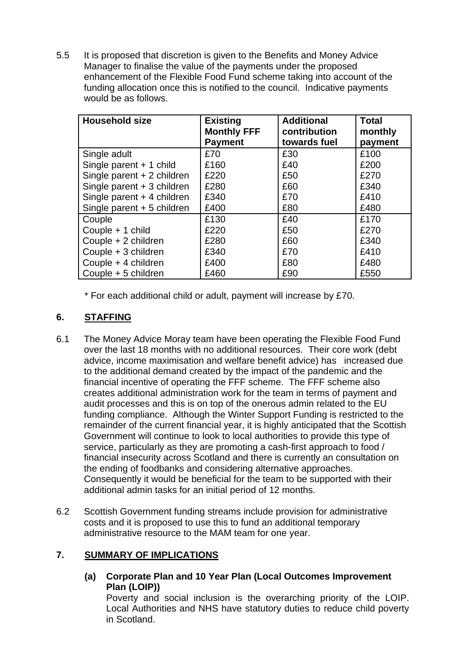5.5 It is proposed that discretion is given to the Benefits and Money Advice Manager to finalise the value of the payments under the proposed enhancement of the Flexible Food Fund scheme taking into account of the funding allocation once this is notified to the council. Indicative payments would be as follows.

| <b>Household size</b>       | <b>Existing</b><br><b>Monthly FFF</b><br><b>Payment</b> | <b>Additional</b><br>contribution<br>towards fuel | <b>Total</b><br>monthly<br>payment |
|-----------------------------|---------------------------------------------------------|---------------------------------------------------|------------------------------------|
| Single adult                | £70                                                     | £30                                               | £100                               |
| Single parent + 1 child     | £160                                                    | £40                                               | £200                               |
| Single parent $+2$ children | £220                                                    | £50                                               | £270                               |
| Single parent + 3 children  | £280                                                    | £60                                               | £340                               |
| Single parent + 4 children  | £340                                                    | £70                                               | £410                               |
| Single parent + 5 children  | £400                                                    | £80                                               | £480                               |
| Couple                      | £130                                                    | £40                                               | £170                               |
| Couple + 1 child            | £220                                                    | £50                                               | £270                               |
| Couple + 2 children         | £280                                                    | £60                                               | £340                               |
| Couple + 3 children         | £340                                                    | £70                                               | £410                               |
| Couple + 4 children         | £400                                                    | £80                                               | £480                               |
| Couple + 5 children         | £460                                                    | £90                                               | £550                               |

\* For each additional child or adult, payment will increase by £70.

# **6. STAFFING**

- 6.1 The Money Advice Moray team have been operating the Flexible Food Fund over the last 18 months with no additional resources. Their core work (debt advice, income maximisation and welfare benefit advice) has increased due to the additional demand created by the impact of the pandemic and the financial incentive of operating the FFF scheme. The FFF scheme also creates additional administration work for the team in terms of payment and audit processes and this is on top of the onerous admin related to the EU funding compliance. Although the Winter Support Funding is restricted to the remainder of the current financial year, it is highly anticipated that the Scottish Government will continue to look to local authorities to provide this type of service, particularly as they are promoting a cash-first approach to food / financial insecurity across Scotland and there is currently an consultation on the ending of foodbanks and considering alternative approaches. Consequently it would be beneficial for the team to be supported with their additional admin tasks for an initial period of 12 months.
- 6.2 Scottish Government funding streams include provision for administrative costs and it is proposed to use this to fund an additional temporary administrative resource to the MAM team for one year.

# **7. SUMMARY OF IMPLICATIONS**

**(a) Corporate Plan and 10 Year Plan (Local Outcomes Improvement Plan (LOIP))**

Poverty and social inclusion is the overarching priority of the LOIP. Local Authorities and NHS have statutory duties to reduce child poverty in Scotland.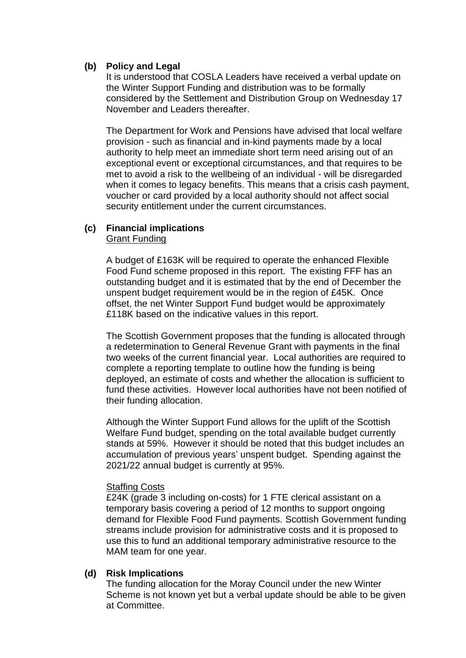### **(b) Policy and Legal**

It is understood that COSLA Leaders have received a verbal update on the Winter Support Funding and distribution was to be formally considered by the Settlement and Distribution Group on Wednesday 17 November and Leaders thereafter.

The Department for Work and Pensions have advised that local welfare provision - such as financial and in-kind payments made by a local authority to help meet an immediate short term need arising out of an exceptional event or exceptional circumstances, and that requires to be met to avoid a risk to the wellbeing of an individual - will be disregarded when it comes to legacy benefits. This means that a crisis cash payment, voucher or card provided by a local authority should not affect social security entitlement under the current circumstances.

#### **(c) Financial implications** Grant Funding

A budget of £163K will be required to operate the enhanced Flexible Food Fund scheme proposed in this report. The existing FFF has an outstanding budget and it is estimated that by the end of December the unspent budget requirement would be in the region of £45K. Once offset, the net Winter Support Fund budget would be approximately £118K based on the indicative values in this report.

The Scottish Government proposes that the funding is allocated through a redetermination to General Revenue Grant with payments in the final two weeks of the current financial year. Local authorities are required to complete a reporting template to outline how the funding is being deployed, an estimate of costs and whether the allocation is sufficient to fund these activities. However local authorities have not been notified of their funding allocation.

Although the Winter Support Fund allows for the uplift of the Scottish Welfare Fund budget, spending on the total available budget currently stands at 59%. However it should be noted that this budget includes an accumulation of previous years' unspent budget. Spending against the 2021/22 annual budget is currently at 95%.

### **Staffing Costs**

£24K (grade 3 including on-costs) for 1 FTE clerical assistant on a temporary basis covering a period of 12 months to support ongoing demand for Flexible Food Fund payments. Scottish Government funding streams include provision for administrative costs and it is proposed to use this to fund an additional temporary administrative resource to the MAM team for one year.

#### **(d) Risk Implications**

The funding allocation for the Moray Council under the new Winter Scheme is not known yet but a verbal update should be able to be given at Committee.